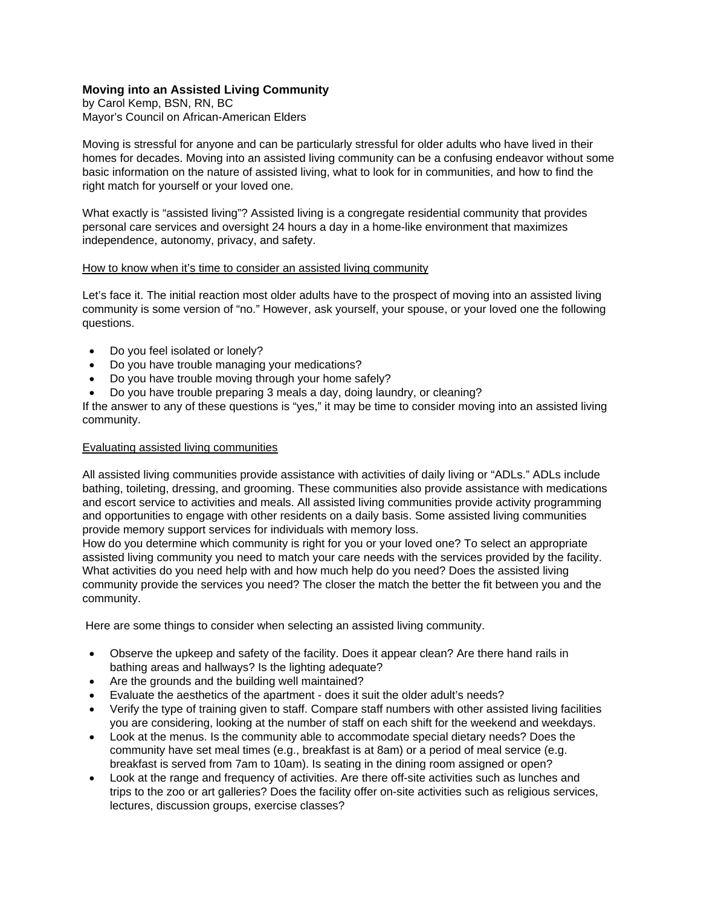## **Moving into an Assisted Living Community**

by Carol Kemp, BSN, RN, BC Mayor's Council on African-American Elders

Moving is stressful for anyone and can be particularly stressful for older adults who have lived in their homes for decades. Moving into an assisted living community can be a confusing endeavor without some basic information on the nature of assisted living, what to look for in communities, and how to find the right match for yourself or your loved one.

What exactly is "assisted living"? Assisted living is a congregate residential community that provides personal care services and oversight 24 hours a day in a home-like environment that maximizes independence, autonomy, privacy, and safety.

## How to know when it's time to consider an assisted living community

Let's face it. The initial reaction most older adults have to the prospect of moving into an assisted living community is some version of "no." However, ask yourself, your spouse, or your loved one the following questions.

- Do you feel isolated or lonely?
- Do you have trouble managing your medications?
- Do you have trouble moving through your home safely?
- Do you have trouble preparing 3 meals a day, doing laundry, or cleaning?

If the answer to any of these questions is "yes," it may be time to consider moving into an assisted living community.

## Evaluating assisted living communities

All assisted living communities provide assistance with activities of daily living or "ADLs." ADLs include bathing, toileting, dressing, and grooming. These communities also provide assistance with medications and escort service to activities and meals. All assisted living communities provide activity programming and opportunities to engage with other residents on a daily basis. Some assisted living communities provide memory support services for individuals with memory loss.

How do you determine which community is right for you or your loved one? To select an appropriate assisted living community you need to match your care needs with the services provided by the facility. What activities do you need help with and how much help do you need? Does the assisted living community provide the services you need? The closer the match the better the fit between you and the community.

Here are some things to consider when selecting an assisted living community.

- Observe the upkeep and safety of the facility. Does it appear clean? Are there hand rails in bathing areas and hallways? Is the lighting adequate?
- Are the grounds and the building well maintained?
- Evaluate the aesthetics of the apartment does it suit the older adult's needs?
- Verify the type of training given to staff. Compare staff numbers with other assisted living facilities you are considering, looking at the number of staff on each shift for the weekend and weekdays.
- Look at the menus. Is the community able to accommodate special dietary needs? Does the community have set meal times (e.g., breakfast is at 8am) or a period of meal service (e.g. breakfast is served from 7am to 10am). Is seating in the dining room assigned or open?
- Look at the range and frequency of activities. Are there off-site activities such as lunches and trips to the zoo or art galleries? Does the facility offer on-site activities such as religious services, lectures, discussion groups, exercise classes?